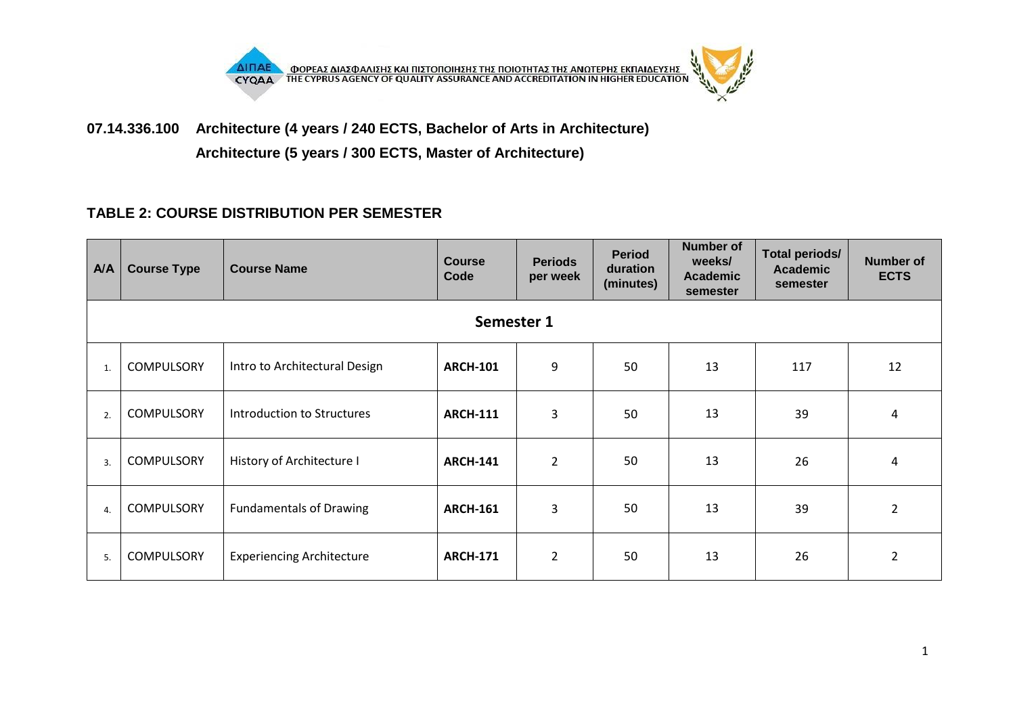

**07.14.336.100 Architecture (4 years / 240 ECTS, Bachelor of Arts in Architecture) Architecture (5 years / 300 ECTS, Master of Architecture)**

## **TABLE 2: COURSE DISTRIBUTION PER SEMESTER**

| A/A              | <b>Course Type</b> | <b>Course Name</b>               | <b>Course</b><br>Code | <b>Periods</b><br>per week | <b>Period</b><br>duration<br>(minutes) | <b>Number of</b><br>weeks/<br><b>Academic</b><br>semester | <b>Total periods/</b><br><b>Academic</b><br>semester | <b>Number of</b><br><b>ECTS</b> |  |  |
|------------------|--------------------|----------------------------------|-----------------------|----------------------------|----------------------------------------|-----------------------------------------------------------|------------------------------------------------------|---------------------------------|--|--|
|                  | Semester 1         |                                  |                       |                            |                                        |                                                           |                                                      |                                 |  |  |
| 1.               | <b>COMPULSORY</b>  | Intro to Architectural Design    | <b>ARCH-101</b>       | 9                          | 50                                     | 13                                                        | 117                                                  | 12                              |  |  |
| 2.               | <b>COMPULSORY</b>  | Introduction to Structures       | <b>ARCH-111</b>       | $\overline{3}$             | 50                                     | 13                                                        | 39                                                   | 4                               |  |  |
| $\overline{3}$ . | <b>COMPULSORY</b>  | History of Architecture I        | <b>ARCH-141</b>       | $\overline{2}$             | 50                                     | 13                                                        | 26                                                   | $\overline{a}$                  |  |  |
| $\mathbf{4}$     | <b>COMPULSORY</b>  | <b>Fundamentals of Drawing</b>   | <b>ARCH-161</b>       | $\overline{3}$             | 50                                     | 13                                                        | 39                                                   | $\overline{2}$                  |  |  |
| 5.               | <b>COMPULSORY</b>  | <b>Experiencing Architecture</b> | <b>ARCH-171</b>       | $\overline{2}$             | 50                                     | 13                                                        | 26                                                   | $\overline{2}$                  |  |  |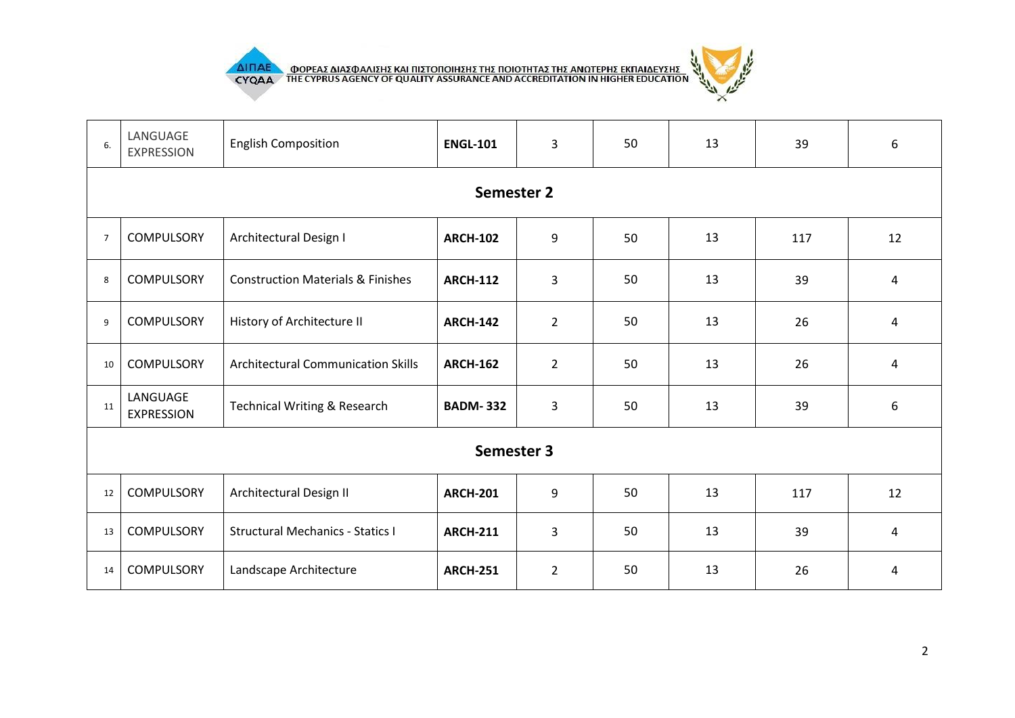

THE CYPRUS AGENCY OF QUALITY ASSURANCE AND ACCREDITATION IN HIGHER EDUCATION



| 6.             | LANGUAGE<br><b>EXPRESSION</b> | <b>English Composition</b>                   | <b>ENGL-101</b> | $\overline{3}$ | 50 | 13 | 39  | 6                       |  |  |  |
|----------------|-------------------------------|----------------------------------------------|-----------------|----------------|----|----|-----|-------------------------|--|--|--|
|                | Semester 2                    |                                              |                 |                |    |    |     |                         |  |  |  |
| $\overline{7}$ | <b>COMPULSORY</b>             | Architectural Design I                       | <b>ARCH-102</b> | 9              | 50 | 13 | 117 | 12                      |  |  |  |
| 8              | <b>COMPULSORY</b>             | <b>Construction Materials &amp; Finishes</b> | <b>ARCH-112</b> | 3              | 50 | 13 | 39  | $\overline{\mathbf{4}}$ |  |  |  |
| 9              | <b>COMPULSORY</b>             | History of Architecture II                   | <b>ARCH-142</b> | $\overline{2}$ | 50 | 13 | 26  | 4                       |  |  |  |
| 10             | <b>COMPULSORY</b>             | <b>Architectural Communication Skills</b>    | <b>ARCH-162</b> | $\overline{2}$ | 50 | 13 | 26  | $\overline{\mathbf{4}}$ |  |  |  |
| 11             | LANGUAGE<br><b>EXPRESSION</b> | <b>Technical Writing &amp; Research</b>      | <b>BADM-332</b> | 3              | 50 | 13 | 39  | 6                       |  |  |  |
|                | Semester 3                    |                                              |                 |                |    |    |     |                         |  |  |  |
| 12             | <b>COMPULSORY</b>             | Architectural Design II                      | <b>ARCH-201</b> | 9              | 50 | 13 | 117 | 12                      |  |  |  |
| 13             | <b>COMPULSORY</b>             | <b>Structural Mechanics - Statics I</b>      | <b>ARCH-211</b> | $\overline{3}$ | 50 | 13 | 39  | $\overline{a}$          |  |  |  |
| 14             | <b>COMPULSORY</b>             | Landscape Architecture                       | <b>ARCH-251</b> | $\overline{2}$ | 50 | 13 | 26  | 4                       |  |  |  |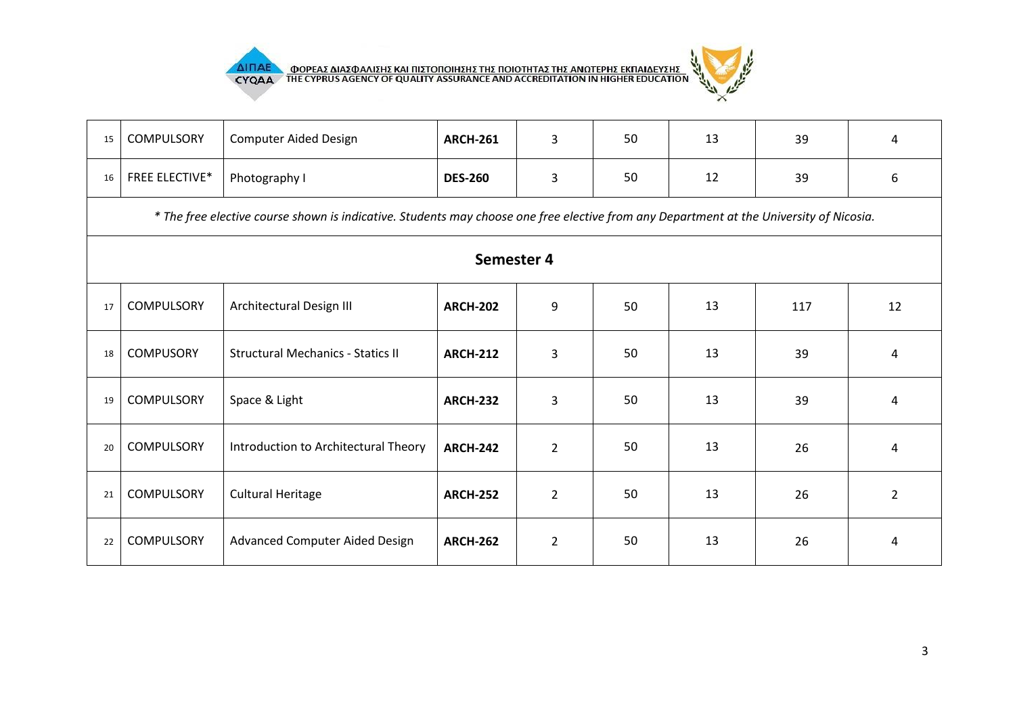





| 15 | <b>COMPULSORY</b>                                                                                                                       | <b>Computer Aided Design</b>             | <b>ARCH-261</b> | $\overline{3}$ | 50 | 13 | 39  | 4              |  |  |  |
|----|-----------------------------------------------------------------------------------------------------------------------------------------|------------------------------------------|-----------------|----------------|----|----|-----|----------------|--|--|--|
| 16 | <b>FREE ELECTIVE*</b>                                                                                                                   | Photography I                            | <b>DES-260</b>  | $\overline{3}$ | 50 | 12 | 39  | 6              |  |  |  |
|    | * The free elective course shown is indicative. Students may choose one free elective from any Department at the University of Nicosia. |                                          |                 |                |    |    |     |                |  |  |  |
|    | Semester 4                                                                                                                              |                                          |                 |                |    |    |     |                |  |  |  |
| 17 | <b>COMPULSORY</b>                                                                                                                       | Architectural Design III                 | <b>ARCH-202</b> | 9              | 50 | 13 | 117 | 12             |  |  |  |
| 18 | <b>COMPUSORY</b>                                                                                                                        | <b>Structural Mechanics - Statics II</b> | <b>ARCH-212</b> | $\overline{3}$ | 50 | 13 | 39  | 4              |  |  |  |
| 19 | <b>COMPULSORY</b>                                                                                                                       | Space & Light                            | <b>ARCH-232</b> | $\overline{3}$ | 50 | 13 | 39  | 4              |  |  |  |
| 20 | <b>COMPULSORY</b>                                                                                                                       | Introduction to Architectural Theory     | <b>ARCH-242</b> | $\overline{2}$ | 50 | 13 | 26  | 4              |  |  |  |
| 21 | <b>COMPULSORY</b>                                                                                                                       | <b>Cultural Heritage</b>                 | <b>ARCH-252</b> | $\overline{2}$ | 50 | 13 | 26  | $\overline{2}$ |  |  |  |
| 22 | <b>COMPULSORY</b>                                                                                                                       | <b>Advanced Computer Aided Design</b>    | <b>ARCH-262</b> | $\overline{2}$ | 50 | 13 | 26  | 4              |  |  |  |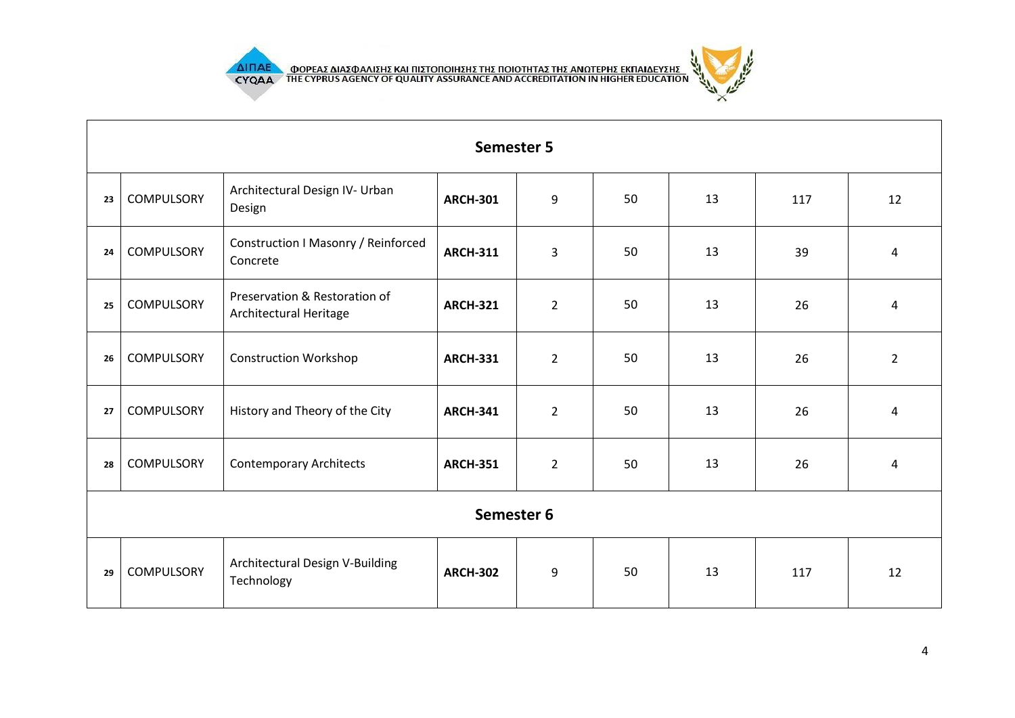

- 11



|    | <b>Semester 5</b> |                                                         |                 |                |    |    |     |                         |  |  |
|----|-------------------|---------------------------------------------------------|-----------------|----------------|----|----|-----|-------------------------|--|--|
| 23 | <b>COMPULSORY</b> | Architectural Design IV- Urban<br>Design                | <b>ARCH-301</b> | 9              | 50 | 13 | 117 | 12                      |  |  |
| 24 | <b>COMPULSORY</b> | Construction I Masonry / Reinforced<br>Concrete         | <b>ARCH-311</b> | 3              | 50 | 13 | 39  | 4                       |  |  |
| 25 | <b>COMPULSORY</b> | Preservation & Restoration of<br>Architectural Heritage | <b>ARCH-321</b> | $\overline{2}$ | 50 | 13 | 26  | $\overline{\mathbf{4}}$ |  |  |
| 26 | <b>COMPULSORY</b> | <b>Construction Workshop</b>                            | <b>ARCH-331</b> | $\overline{2}$ | 50 | 13 | 26  | $\overline{2}$          |  |  |
| 27 | <b>COMPULSORY</b> | History and Theory of the City                          | <b>ARCH-341</b> | $\overline{2}$ | 50 | 13 | 26  | 4                       |  |  |
| 28 | <b>COMPULSORY</b> | <b>Contemporary Architects</b>                          | <b>ARCH-351</b> | $\overline{2}$ | 50 | 13 | 26  | $\overline{4}$          |  |  |
|    | Semester 6        |                                                         |                 |                |    |    |     |                         |  |  |
| 29 | <b>COMPULSORY</b> | Architectural Design V-Building<br>Technology           | <b>ARCH-302</b> | 9              | 50 | 13 | 117 | 12                      |  |  |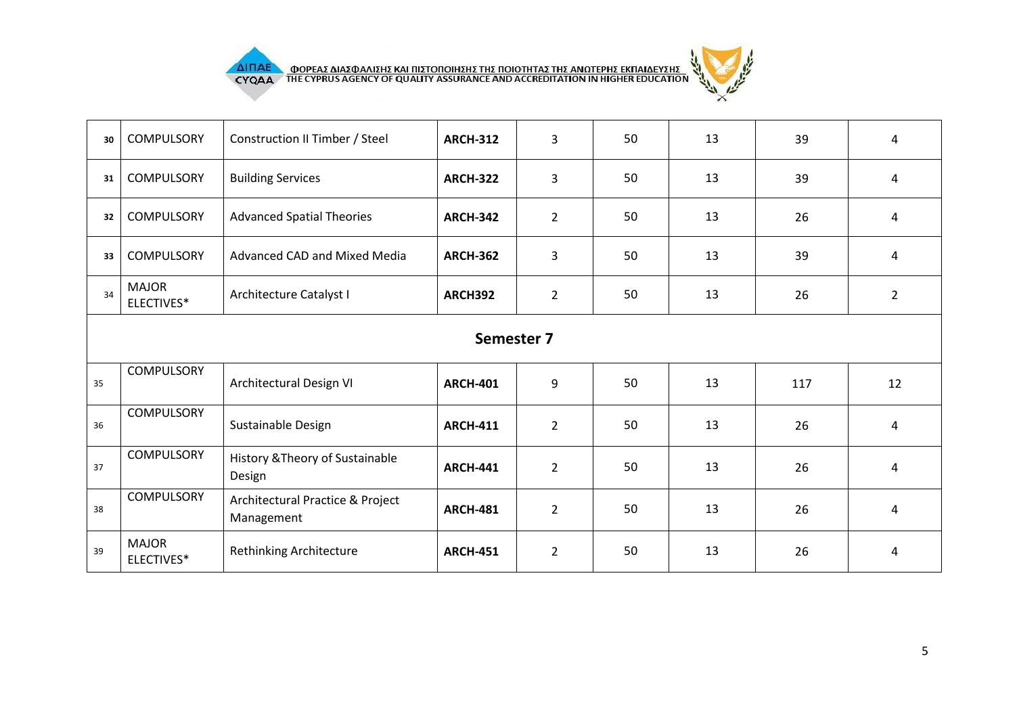



| 30         | <b>COMPULSORY</b>          | Construction II Timber / Steel                 | <b>ARCH-312</b> | $\overline{3}$ | 50 | 13 | 39  | $\overline{4}$          |  |
|------------|----------------------------|------------------------------------------------|-----------------|----------------|----|----|-----|-------------------------|--|
| 31         | <b>COMPULSORY</b>          | <b>Building Services</b>                       | <b>ARCH-322</b> | 3              | 50 | 13 | 39  | 4                       |  |
| 32         | <b>COMPULSORY</b>          | <b>Advanced Spatial Theories</b>               | <b>ARCH-342</b> | $\overline{2}$ | 50 | 13 | 26  | $\overline{4}$          |  |
| 33         | <b>COMPULSORY</b>          | Advanced CAD and Mixed Media                   | <b>ARCH-362</b> | $\overline{3}$ | 50 | 13 | 39  | 4                       |  |
| 34         | <b>MAJOR</b><br>ELECTIVES* | Architecture Catalyst I                        | ARCH392         | $\overline{2}$ | 50 | 13 | 26  | $\overline{2}$          |  |
| Semester 7 |                            |                                                |                 |                |    |    |     |                         |  |
| 35         | <b>COMPULSORY</b>          | Architectural Design VI                        | <b>ARCH-401</b> | 9              | 50 | 13 | 117 | 12                      |  |
| 36         | <b>COMPULSORY</b>          | Sustainable Design                             | <b>ARCH-411</b> | $\overline{2}$ | 50 | 13 | 26  | $\overline{\mathbf{4}}$ |  |
| 37         | <b>COMPULSORY</b>          | History & Theory of Sustainable<br>Design      | <b>ARCH-441</b> | $\overline{2}$ | 50 | 13 | 26  | $\overline{4}$          |  |
| 38         | <b>COMPULSORY</b>          | Architectural Practice & Project<br>Management | <b>ARCH-481</b> | $\overline{2}$ | 50 | 13 | 26  | $\overline{\mathbf{4}}$ |  |
| 39         | <b>MAJOR</b><br>ELECTIVES* | Rethinking Architecture                        | <b>ARCH-451</b> | $\overline{2}$ | 50 | 13 | 26  | 4                       |  |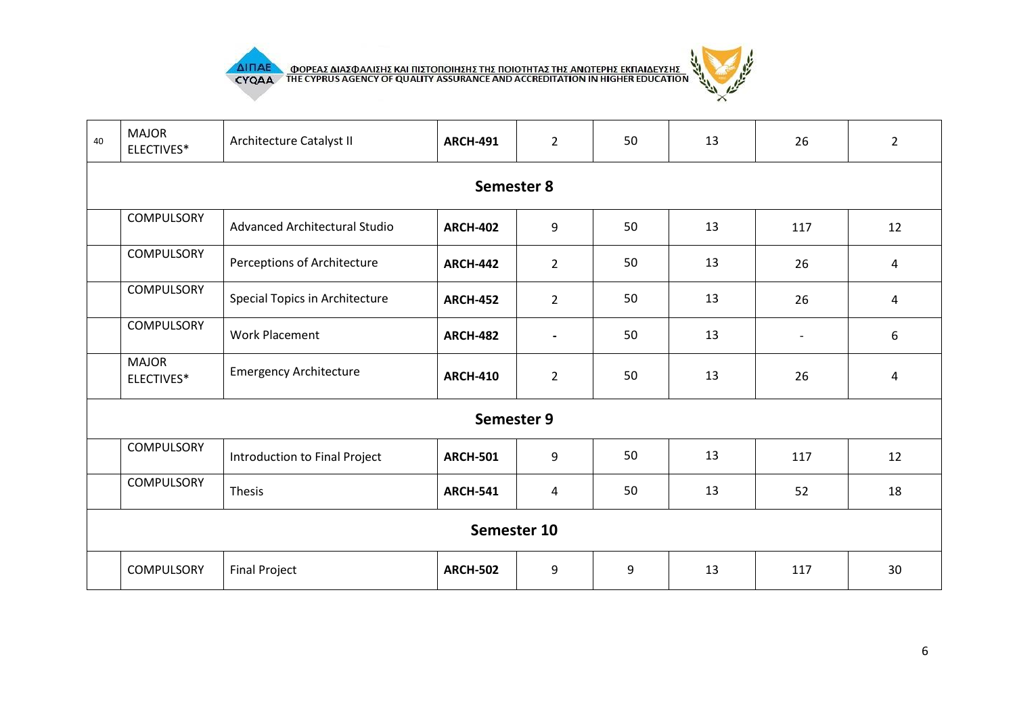

**AIFIAE OOPEAE AIAE DATE KAI HIETOHOIHEHE THE HOIOTHTAE THE ANOTEPHE EKHAIAEYEHE** 



| 40 | <b>MAJOR</b><br>ELECTIVES* | Architecture Catalyst II       | <b>ARCH-491</b> | $\overline{2}$ | 50 | 13 | 26             | $\overline{2}$ |  |  |  |
|----|----------------------------|--------------------------------|-----------------|----------------|----|----|----------------|----------------|--|--|--|
|    | Semester 8                 |                                |                 |                |    |    |                |                |  |  |  |
|    | <b>COMPULSORY</b>          | Advanced Architectural Studio  | <b>ARCH-402</b> | 9              | 50 | 13 | 117            | 12             |  |  |  |
|    | <b>COMPULSORY</b>          | Perceptions of Architecture    | <b>ARCH-442</b> | $\overline{2}$ | 50 | 13 | 26             | $\overline{4}$ |  |  |  |
|    | COMPULSORY                 | Special Topics in Architecture | <b>ARCH-452</b> | $\overline{2}$ | 50 | 13 | 26             | 4              |  |  |  |
|    | <b>COMPULSORY</b>          | <b>Work Placement</b>          | <b>ARCH-482</b> | $\blacksquare$ | 50 | 13 | $\blacksquare$ | 6              |  |  |  |
|    | <b>MAJOR</b><br>ELECTIVES* | <b>Emergency Architecture</b>  | <b>ARCH-410</b> | $\overline{2}$ | 50 | 13 | 26             | 4              |  |  |  |
|    |                            |                                | Semester 9      |                |    |    |                |                |  |  |  |
|    | <b>COMPULSORY</b>          | Introduction to Final Project  | <b>ARCH-501</b> | 9              | 50 | 13 | 117            | 12             |  |  |  |
|    | <b>COMPULSORY</b>          | Thesis                         | <b>ARCH-541</b> | $\overline{4}$ | 50 | 13 | 52             | 18             |  |  |  |
|    | Semester 10                |                                |                 |                |    |    |                |                |  |  |  |
|    | <b>COMPULSORY</b>          | <b>Final Project</b>           | <b>ARCH-502</b> | 9              | 9  | 13 | 117            | 30             |  |  |  |